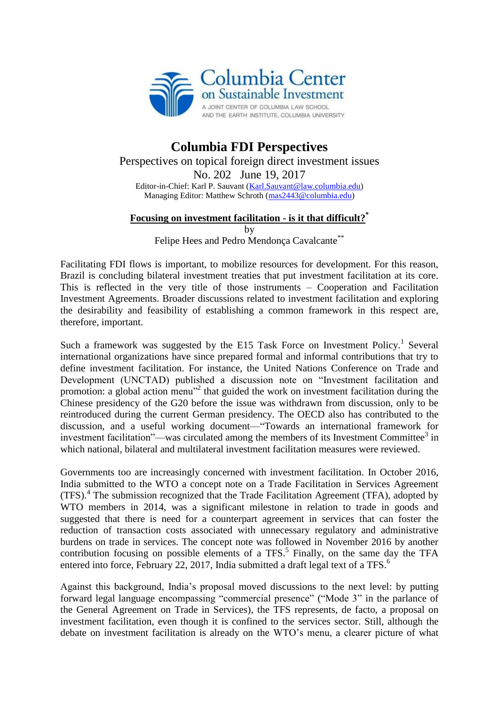

## **Columbia FDI Perspectives** Perspectives on topical foreign direct investment issues No. 202 June 19, 2017 Editor-in-Chief: Karl P. Sauvant [\(Karl.Sauvant@law.columbia.edu\)](mailto:Karl.Sauvant@law.columbia.edu) Managing Editor: Matthew Schroth [\(mas2443@columbia.edu\)](mailto:mas2443@columbia.edu)

## **Focusing on investment facilitation - is it that difficult?\***

by

Felipe Hees and Pedro Mendonça Cavalcante\*\*

Facilitating FDI flows is important, to mobilize resources for development. For this reason, Brazil is concluding bilateral investment treaties that put investment facilitation at its core. This is reflected in the very title of those instruments – Cooperation and Facilitation Investment Agreements. Broader discussions related to investment facilitation and exploring the desirability and feasibility of establishing a common framework in this respect are, therefore, important.

Such a framework was suggested by the E15 Task Force on Investment Policy.<sup>1</sup> Several international organizations have since prepared formal and informal contributions that try to define investment facilitation. For instance, the United Nations Conference on Trade and Development (UNCTAD) published a discussion note on "Investment facilitation and promotion: a global action menu"<sup>2</sup> that guided the work on investment facilitation during the Chinese presidency of the G20 before the issue was withdrawn from discussion, only to be reintroduced during the current German presidency. The OECD also has contributed to the discussion, and a useful working document—"Towards an international framework for investment facilitation"—was circulated among the members of its Investment Committee $3$  in which national, bilateral and multilateral investment facilitation measures were reviewed.

Governments too are increasingly concerned with investment facilitation. In October 2016, India submitted to the WTO a concept note on a Trade Facilitation in Services Agreement (TFS). 4 The submission recognized that the Trade Facilitation Agreement (TFA), adopted by WTO members in 2014, was a significant milestone in relation to trade in goods and suggested that there is need for a counterpart agreement in services that can foster the reduction of transaction costs associated with unnecessary regulatory and administrative burdens on trade in services. The concept note was followed in November 2016 by another contribution focusing on possible elements of a TFS.<sup>5</sup> Finally, on the same day the TFA entered into force, February 22, 2017, India submitted a draft legal text of a TFS.<sup>6</sup>

Against this background, India's proposal moved discussions to the next level: by putting forward legal language encompassing "commercial presence" ("Mode 3" in the parlance of the General Agreement on Trade in Services), the TFS represents, de facto, a proposal on investment facilitation, even though it is confined to the services sector. Still, although the debate on investment facilitation is already on the WTO's menu, a clearer picture of what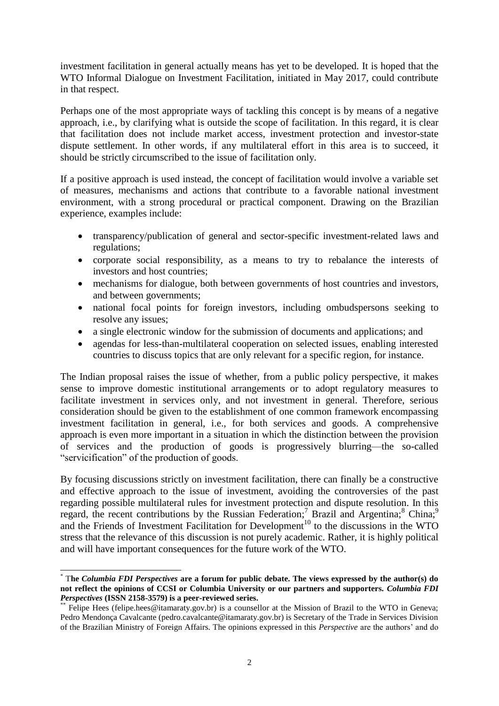investment facilitation in general actually means has yet to be developed. It is hoped that the WTO Informal Dialogue on Investment Facilitation, initiated in May 2017, could contribute in that respect.

Perhaps one of the most appropriate ways of tackling this concept is by means of a negative approach, i.e., by clarifying what is outside the scope of facilitation. In this regard, it is clear that facilitation does not include market access, investment protection and investor-state dispute settlement. In other words, if any multilateral effort in this area is to succeed, it should be strictly circumscribed to the issue of facilitation only.

If a positive approach is used instead, the concept of facilitation would involve a variable set of measures, mechanisms and actions that contribute to a favorable national investment environment, with a strong procedural or practical component. Drawing on the Brazilian experience, examples include:

- transparency/publication of general and sector-specific investment-related laws and regulations;
- corporate social responsibility, as a means to try to rebalance the interests of investors and host countries;
- mechanisms for dialogue, both between governments of host countries and investors, and between governments;
- national focal points for foreign investors, including ombudspersons seeking to resolve any issues;
- a single electronic window for the submission of documents and applications; and
- agendas for less-than-multilateral cooperation on selected issues, enabling interested countries to discuss topics that are only relevant for a specific region, for instance.

The Indian proposal raises the issue of whether, from a public policy perspective, it makes sense to improve domestic institutional arrangements or to adopt regulatory measures to facilitate investment in services only, and not investment in general. Therefore, serious consideration should be given to the establishment of one common framework encompassing investment facilitation in general, i.e., for both services and goods. A comprehensive approach is even more important in a situation in which the distinction between the provision of services and the production of goods is progressively blurring—the so-called "servicification" of the production of goods.

By focusing discussions strictly on investment facilitation, there can finally be a constructive and effective approach to the issue of investment, avoiding the controversies of the past regarding possible multilateral rules for investment protection and dispute resolution. In this regard, the recent contributions by the Russian Federation;<sup>7</sup> Brazil and Argentina;<sup>8</sup> China;<sup>9</sup> and the Friends of Investment Facilitation for Development<sup>10</sup> to the discussions in the WTO stress that the relevance of this discussion is not purely academic. Rather, it is highly political and will have important consequences for the future work of the WTO.

<sup>-</sup>\* T**he** *Columbia FDI Perspectives* **are a forum for public debate. The views expressed by the author(s) do not reflect the opinions of CCSI or Columbia University or our partners and supporters.** *Columbia FDI Perspectives* **(ISSN 2158-3579) is a peer-reviewed series.**

Felipe Hees (felipe.hees@itamaraty.gov.br) is a counsellor at the Mission of Brazil to the WTO in Geneva; Pedro Mendonça Cavalcante (pedro.cavalcante@itamaraty.gov.br) is Secretary of the Trade in Services Division of the Brazilian Ministry of Foreign Affairs. The opinions expressed in this *Perspective* are the authors' and do